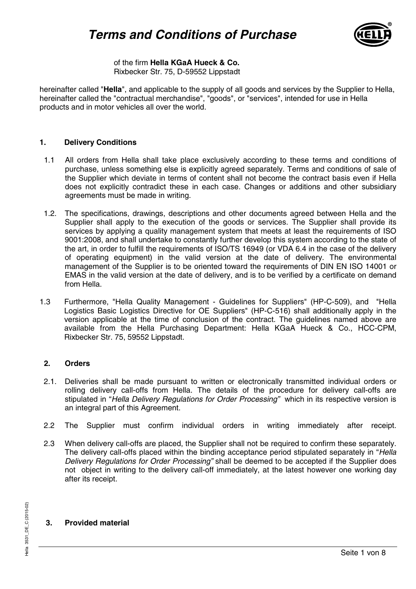

of the firm **Hella KGaA Hueck & Co.** Rixbecker Str. 75, D-59552 Lippstadt

hereinafter called "**Hella**", and applicable to the supply of all goods and services by the Supplier to Hella, hereinafter called the "contractual merchandise", "goods", or "services", intended for use in Hella products and in motor vehicles all over the world.

#### **1. Delivery Conditions**

- 1.1 All orders from Hella shall take place exclusively according to these terms and conditions of purchase, unless something else is explicitly agreed separately. Terms and conditions of sale of the Supplier which deviate in terms of content shall not become the contract basis even if Hella does not explicitly contradict these in each case. Changes or additions and other subsidiary agreements must be made in writing.
- 1.2. The specifications, drawings, descriptions and other documents agreed between Hella and the Supplier shall apply to the execution of the goods or services. The Supplier shall provide its services by applying a quality management system that meets at least the requirements of ISO 9001:2008, and shall undertake to constantly further develop this system according to the state of the art, in order to fulfill the requirements of ISO/TS 16949 (or VDA 6.4 in the case of the delivery of operating equipment) in the valid version at the date of delivery. The environmental management of the Supplier is to be oriented toward the requirements of DIN EN ISO 14001 or EMAS in the valid version at the date of delivery, and is to be verified by a certificate on demand from Hella.
- 1.3 Furthermore, "Hella Quality Management Guidelines for Suppliers" (HP-C-509), and "Hella Logistics Basic Logistics Directive for OE Suppliers" (HP-C-516) shall additionally apply in the version applicable at the time of conclusion of the contract. The guidelines named above are available from the Hella Purchasing Department: Hella KGaA Hueck & Co., HCC-CPM, Rixbecker Str. 75, 59552 Lippstadt.

#### **2. Orders**

- 2.1. Deliveries shall be made pursuant to written or electronically transmitted individual orders or rolling delivery call-offs from Hella. The details of the procedure for delivery call-offs are stipulated in "Hella Delivery Regulations for Order Processing" which in its respective version is an integral part of this Agreement.
- 2.2 The Supplier must confirm individual orders in writing immediately after receipt.
- 2.3 When delivery call-offs are placed, the Supplier shall not be required to confirm these separately. The delivery call-offs placed within the binding acceptance period stipulated separately in "Hella" Delivery Regulations for Order Processing" shall be deemed to be accepted if the Supplier does not object in writing to the delivery call-off immediately, at the latest however one working day after its receipt.

# Seite 1 von <sup>8</sup>ella <sup>3531</sup>\_DE\_C (2015-02) **3. Provided material**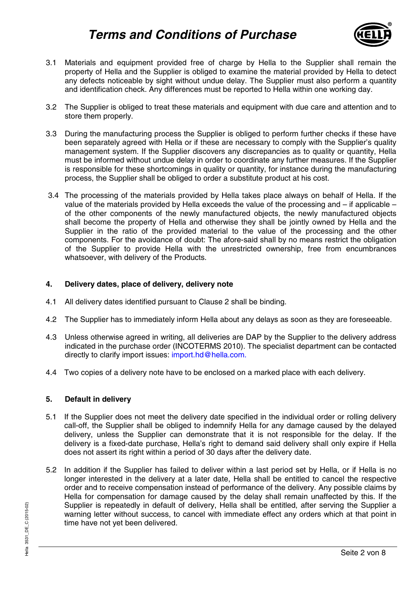# **Terms and Conditions of Purchase**



- 3.1 Materials and equipment provided free of charge by Hella to the Supplier shall remain the property of Hella and the Supplier is obliged to examine the material provided by Hella to detect any defects noticeable by sight without undue delay. The Supplier must also perform a quantity and identification check. Any differences must be reported to Hella within one working day.
- 3.2 The Supplier is obliged to treat these materials and equipment with due care and attention and to store them properly.
- 3.3 During the manufacturing process the Supplier is obliged to perform further checks if these have been separately agreed with Hella or if these are necessary to comply with the Supplier's quality management system. If the Supplier discovers any discrepancies as to quality or quantity, Hella must be informed without undue delay in order to coordinate any further measures. If the Supplier is responsible for these shortcomings in quality or quantity, for instance during the manufacturing process, the Supplier shall be obliged to order a substitute product at his cost.
- 3.4 The processing of the materials provided by Hella takes place always on behalf of Hella. If the value of the materials provided by Hella exceeds the value of the processing and – if applicable – of the other components of the newly manufactured objects, the newly manufactured objects shall become the property of Hella and otherwise they shall be jointly owned by Hella and the Supplier in the ratio of the provided material to the value of the processing and the other components. For the avoidance of doubt: The afore-said shall by no means restrict the obligation of the Supplier to provide Hella with the unrestricted ownership, free from encumbrances whatsoever, with delivery of the Products.

# **4. Delivery dates, place of delivery, delivery note**

- 4.1 All delivery dates identified pursuant to Clause 2 shall be binding.
- 4.2 The Supplier has to immediately inform Hella about any delays as soon as they are foreseeable.
- 4.3 Unless otherwise agreed in writing, all deliveries are DAP by the Supplier to the delivery address indicated in the purchase order (INCOTERMS 2010). The specialist department can be contacted directly to clarify import issues: import.hd@hella.com.
- 4.4 Two copies of a delivery note have to be enclosed on a marked place with each delivery.

#### **5. Default in delivery**

- 5.1 If the Supplier does not meet the delivery date specified in the individual order or rolling delivery call-off, the Supplier shall be obliged to indemnify Hella for any damage caused by the delayed delivery, unless the Supplier can demonstrate that it is not responsible for the delay. If the delivery is a fixed-date purchase, Hella's right to demand said delivery shall only expire if Hella does not assert its right within a period of 30 days after the delivery date.
- Supplier is repeatedly in default of delivery, Hella shall be entitled, after serving the Supplier warning letter without success, to cancel with immediate effect any orders which at that point time have not yet been deli 5.2 In addition if the Supplier has failed to deliver within a last period set by Hella, or if Hella is no longer interested in the delivery at a later date, Hella shall be entitled to cancel the respective order and to receive compensation instead of performance of the delivery. Any possible claims by Hella for compensation for damage caused by the delay shall remain unaffected by this. If the Supplier is repeatedly in default of delivery, Hella shall be entitled, after serving the Supplier a warning letter without success, to cancel with immediate effect any orders which at that point in time have not yet been delivered.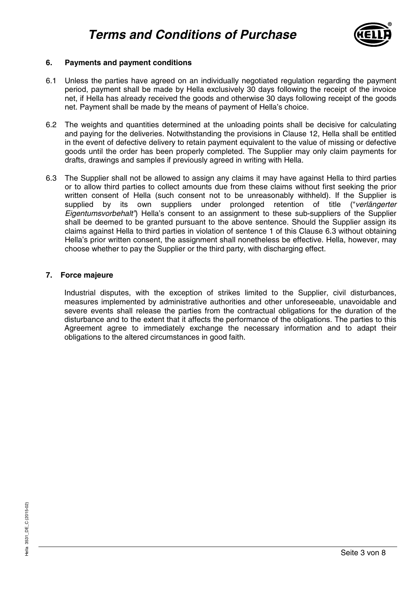

# **6. Payments and payment conditions**

- 6.1 Unless the parties have agreed on an individually negotiated regulation regarding the payment period, payment shall be made by Hella exclusively 30 days following the receipt of the invoice net, if Hella has already received the goods and otherwise 30 days following receipt of the goods net. Payment shall be made by the means of payment of Hella's choice.
- 6.2 The weights and quantities determined at the unloading points shall be decisive for calculating and paying for the deliveries. Notwithstanding the provisions in Clause 12, Hella shall be entitled in the event of defective delivery to retain payment equivalent to the value of missing or defective goods until the order has been properly completed. The Supplier may only claim payments for drafts, drawings and samples if previously agreed in writing with Hella.
- 6.3 The Supplier shall not be allowed to assign any claims it may have against Hella to third parties or to allow third parties to collect amounts due from these claims without first seeking the prior written consent of Hella (such consent not to be unreasonably withheld). If the Supplier is supplied by its own suppliers under prolonged retention of title ("verlängerter Eigentumsvorbehalt") Hella's consent to an assignment to these sub-suppliers of the Supplier shall be deemed to be granted pursuant to the above sentence. Should the Supplier assign its claims against Hella to third parties in violation of sentence 1 of this Clause 6.3 without obtaining Hella's prior written consent, the assignment shall nonetheless be effective. Hella, however, may choose whether to pay the Supplier or the third party, with discharging effect.

#### **7. Force majeure**

Industrial disputes, with the exception of strikes limited to the Supplier, civil disturbances, measures implemented by administrative authorities and other unforeseeable, unavoidable and severe events shall release the parties from the contractual obligations for the duration of the disturbance and to the extent that it affects the performance of the obligations. The parties to this Agreement agree to immediately exchange the necessary information and to adapt their obligations to the altered circumstances in good faith.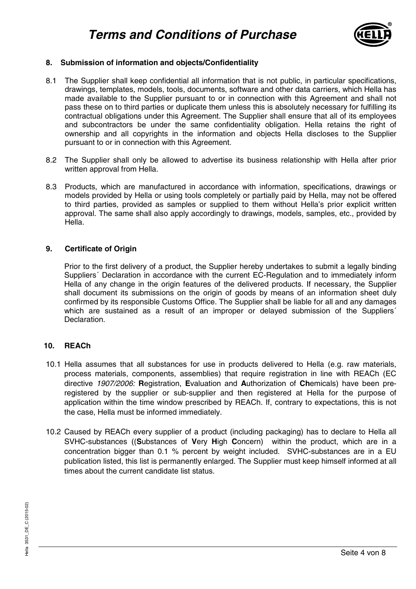

# **8. Submission of information and objects/Confidentiality**

- 8.1 The Supplier shall keep confidential all information that is not public, in particular specifications, drawings, templates, models, tools, documents, software and other data carriers, which Hella has made available to the Supplier pursuant to or in connection with this Agreement and shall not pass these on to third parties or duplicate them unless this is absolutely necessary for fulfilling its contractual obligations under this Agreement. The Supplier shall ensure that all of its employees and subcontractors be under the same confidentiality obligation. Hella retains the right of ownership and all copyrights in the information and objects Hella discloses to the Supplier pursuant to or in connection with this Agreement.
- 8.2 The Supplier shall only be allowed to advertise its business relationship with Hella after prior written approval from Hella.
- 8.3 Products, which are manufactured in accordance with information, specifications, drawings or models provided by Hella or using tools completely or partially paid by Hella, may not be offered to third parties, provided as samples or supplied to them without Hella's prior explicit written approval. The same shall also apply accordingly to drawings, models, samples, etc., provided by Hella.

#### **9. Certificate of Origin**

Prior to the first delivery of a product, the Supplier hereby undertakes to submit a legally binding Suppliers´ Declaration in accordance with the current EC-Regulation and to immediately inform Hella of any change in the origin features of the delivered products. If necessary, the Supplier shall document its submissions on the origin of goods by means of an information sheet duly confirmed by its responsible Customs Office. The Supplier shall be liable for all and any damages which are sustained as a result of an improper or delayed submission of the Suppliers' **Declaration** 

#### **10. REACh**

- 10.1 Hella assumes that all substances for use in products delivered to Hella (e.g. raw materials, process materials, components, assemblies) that require registration in line with REACh (EC directive 1907/2006: **R**egistration, **E**valuation and **A**uthorization of **Ch**emicals) have been preregistered by the supplier or sub-supplier and then registered at Hella for the purpose of application within the time window prescribed by REACh. If, contrary to expectations, this is not the case, Hella must be informed immediately.
- 10.2 Caused by REACh every supplier of a product (including packaging) has to declare to Hella all SVHC-substances ((**S**ubstances of **V**ery **H**igh **C**oncern) within the product, which are in a concentration bigger than 0.1 % percent by weight included. SVHC-substances are in a EU publication listed, this list is permanently enlarged. The Supplier must keep himself informed at all times about the current candidate list status.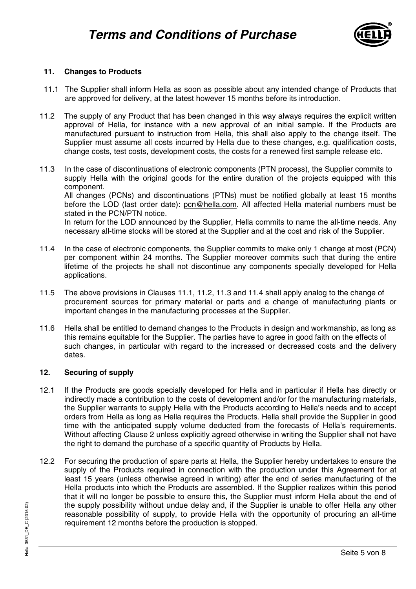

# **11. Changes to Products**

- 11.1 The Supplier shall inform Hella as soon as possible about any intended change of Products that are approved for delivery, at the latest however 15 months before its introduction.
- 11.2 The supply of any Product that has been changed in this way always requires the explicit written approval of Hella, for instance with a new approval of an initial sample. If the Products are manufactured pursuant to instruction from Hella, this shall also apply to the change itself. The Supplier must assume all costs incurred by Hella due to these changes, e.g. qualification costs, change costs, test costs, development costs, the costs for a renewed first sample release etc.
- 11.3 In the case of discontinuations of electronic components (PTN process), the Supplier commits to supply Hella with the original goods for the entire duration of the projects equipped with this component. All changes (PCNs) and discontinuations (PTNs) must be notified globally at least 15 months before the LOD (last order date): pcn@hella.com. All affected Hella material numbers must be stated in the PCN/PTN notice. In return for the LOD announced by the Supplier, Hella commits to name the all-time needs. Any necessary all-time stocks will be stored at the Supplier and at the cost and risk of the Supplier.
- 11.4 In the case of electronic components, the Supplier commits to make only 1 change at most (PCN) per component within 24 months. The Supplier moreover commits such that during the entire lifetime of the projects he shall not discontinue any components specially developed for Hella applications.
- 11.5 The above provisions in Clauses 11.1, 11.2, 11.3 and 11.4 shall apply analog to the change of procurement sources for primary material or parts and a change of manufacturing plants or important changes in the manufacturing processes at the Supplier.
- 11.6 Hella shall be entitled to demand changes to the Products in design and workmanship, as long as this remains equitable for the Supplier. The parties have to agree in good faith on the effects of such changes, in particular with regard to the increased or decreased costs and the delivery dates.

# **12. Securing of supply**

- 12.1 If the Products are goods specially developed for Hella and in particular if Hella has directly or indirectly made a contribution to the costs of development and/or for the manufacturing materials, the Supplier warrants to supply Hella with the Products according to Hella's needs and to accept orders from Hella as long as Hella requires the Products. Hella shall provide the Supplier in good time with the anticipated supply volume deducted from the forecasts of Hella's requirements. Without affecting Clause 2 unless explicitly agreed otherwise in writing the Supplier shall not have the right to demand the purchase of a specific quantity of Products by Hella.
- the supply possibility without undue delay and, if the Supplier is unable to offer Hella any other reasonable possibility of supply, to provide Hella with the opportunity of procuring an all-time requirement 12 months bef 12.2 For securing the production of spare parts at Hella, the Supplier hereby undertakes to ensure the supply of the Products required in connection with the production under this Agreement for at least 15 years (unless otherwise agreed in writing) after the end of series manufacturing of the Hella products into which the Products are assembled. If the Supplier realizes within this period that it will no longer be possible to ensure this, the Supplier must inform Hella about the end of the supply possibility without undue delay and, if the Supplier is unable to offer Hella any other reasonable possibility of supply, to provide Hella with the opportunity of procuring an all-time requirement 12 months before the production is stopped.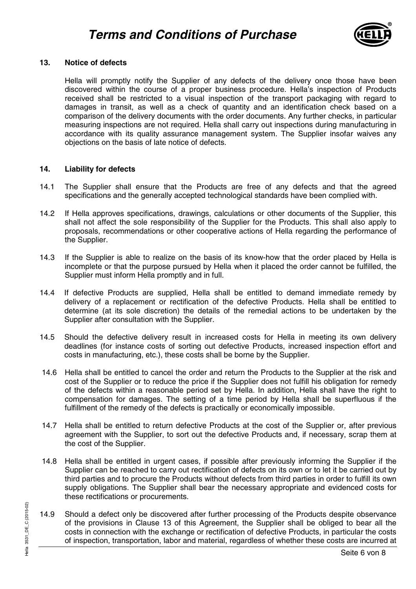

# **13. Notice of defects**

Hella will promptly notify the Supplier of any defects of the delivery once those have been discovered within the course of a proper business procedure. Hella's inspection of Products received shall be restricted to a visual inspection of the transport packaging with regard to damages in transit, as well as a check of quantity and an identification check based on a comparison of the delivery documents with the order documents. Any further checks, in particular measuring inspections are not required. Hella shall carry out inspections during manufacturing in accordance with its quality assurance management system. The Supplier insofar waives any objections on the basis of late notice of defects.

#### **14. Liability for defects**

- 14.1 The Supplier shall ensure that the Products are free of any defects and that the agreed specifications and the generally accepted technological standards have been complied with.
- 14.2 If Hella approves specifications, drawings, calculations or other documents of the Supplier, this shall not affect the sole responsibility of the Supplier for the Products. This shall also apply to proposals, recommendations or other cooperative actions of Hella regarding the performance of the Supplier.
- 14.3 If the Supplier is able to realize on the basis of its know-how that the order placed by Hella is incomplete or that the purpose pursued by Hella when it placed the order cannot be fulfilled, the Supplier must inform Hella promptly and in full.
- 14.4 If defective Products are supplied, Hella shall be entitled to demand immediate remedy by delivery of a replacement or rectification of the defective Products. Hella shall be entitled to determine (at its sole discretion) the details of the remedial actions to be undertaken by the Supplier after consultation with the Supplier.
- 14.5 Should the defective delivery result in increased costs for Hella in meeting its own delivery deadlines (for instance costs of sorting out defective Products, increased inspection effort and costs in manufacturing, etc.), these costs shall be borne by the Supplier.
- 14.6 Hella shall be entitled to cancel the order and return the Products to the Supplier at the risk and cost of the Supplier or to reduce the price if the Supplier does not fulfill his obligation for remedy of the defects within a reasonable period set by Hella. In addition, Hella shall have the right to compensation for damages. The setting of a time period by Hella shall be superfluous if the fulfillment of the remedy of the defects is practically or economically impossible.
- 14.7 Hella shall be entitled to return defective Products at the cost of the Supplier or, after previous agreement with the Supplier, to sort out the defective Products and, if necessary, scrap them at the cost of the Supplier.
- 14.8 Hella shall be entitled in urgent cases, if possible after previously informing the Supplier if the Supplier can be reached to carry out rectification of defects on its own or to let it be carried out by third parties and to procure the Products without defects from third parties in order to fulfill its own supply obligations. The Supplier shall bear the necessary appropriate and evidenced costs for these rectifications or procurements.
- 14.9 Should a defect only be discovered after further processing of the Products despite observant of the provisions in Clause 13 of this Agreement, the Supplier shall be obliged to bear all t costs in connection with the 14.9 Should a defect only be discovered after further processing of the Products despite observance of the provisions in Clause 13 of this Agreement, the Supplier shall be obliged to bear all the costs in connection with the exchange or rectification of defective Products, in particular the costs of inspection, transportation, labor and material, regardless of whether these costs are incurred at

Hella 3531\_DE\_C (2015-02)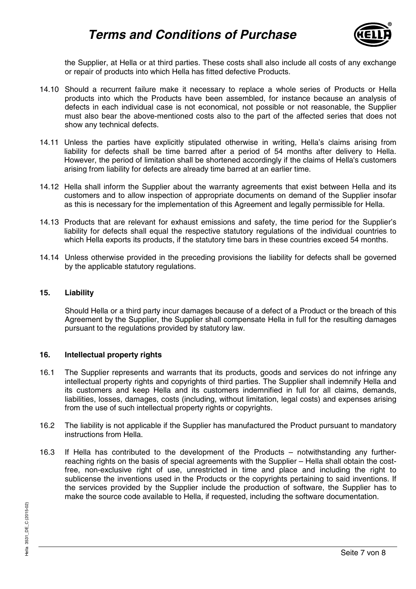# **Terms and Conditions of Purchase**



the Supplier, at Hella or at third parties. These costs shall also include all costs of any exchange or repair of products into which Hella has fitted defective Products.

- 14.10 Should a recurrent failure make it necessary to replace a whole series of Products or Hella products into which the Products have been assembled, for instance because an analysis of defects in each individual case is not economical, not possible or not reasonable, the Supplier must also bear the above-mentioned costs also to the part of the affected series that does not show any technical defects.
- 14.11 Unless the parties have explicitly stipulated otherwise in writing, Hella's claims arising from liability for defects shall be time barred after a period of 54 months after delivery to Hella. However, the period of limitation shall be shortened accordingly if the claims of Hella's customers arising from liability for defects are already time barred at an earlier time.
- 14.12 Hella shall inform the Supplier about the warranty agreements that exist between Hella and its customers and to allow inspection of appropriate documents on demand of the Supplier insofar as this is necessary for the implementation of this Agreement and legally permissible for Hella.
- 14.13 Products that are relevant for exhaust emissions and safety, the time period for the Supplier's liability for defects shall equal the respective statutory regulations of the individual countries to which Hella exports its products, if the statutory time bars in these countries exceed 54 months.
- 14.14 Unless otherwise provided in the preceding provisions the liability for defects shall be governed by the applicable statutory regulations.

#### **15. Liability**

Should Hella or a third party incur damages because of a defect of a Product or the breach of this Agreement by the Supplier, the Supplier shall compensate Hella in full for the resulting damages pursuant to the regulations provided by statutory law.

#### **16. Intellectual property rights**

- 16.1 The Supplier represents and warrants that its products, goods and services do not infringe any intellectual property rights and copyrights of third parties. The Supplier shall indemnify Hella and its customers and keep Hella and its customers indemnified in full for all claims, demands, liabilities, losses, damages, costs (including, without limitation, legal costs) and expenses arising from the use of such intellectual property rights or copyrights.
- 16.2 The liability is not applicable if the Supplier has manufactured the Product pursuant to mandatory instructions from Hella.
- 16.3 If Hella has contributed to the development of the Products notwithstanding any furtherreaching rights on the basis of special agreements with the Supplier – Hella shall obtain the costfree, non-exclusive right of use, unrestricted in time and place and including the right to sublicense the inventions used in the Products or the copyrights pertaining to said inventions. If the services provided by the Supplier include the production of software, the Supplier has to make the source code available to Hella, if requested, including the software documentation.